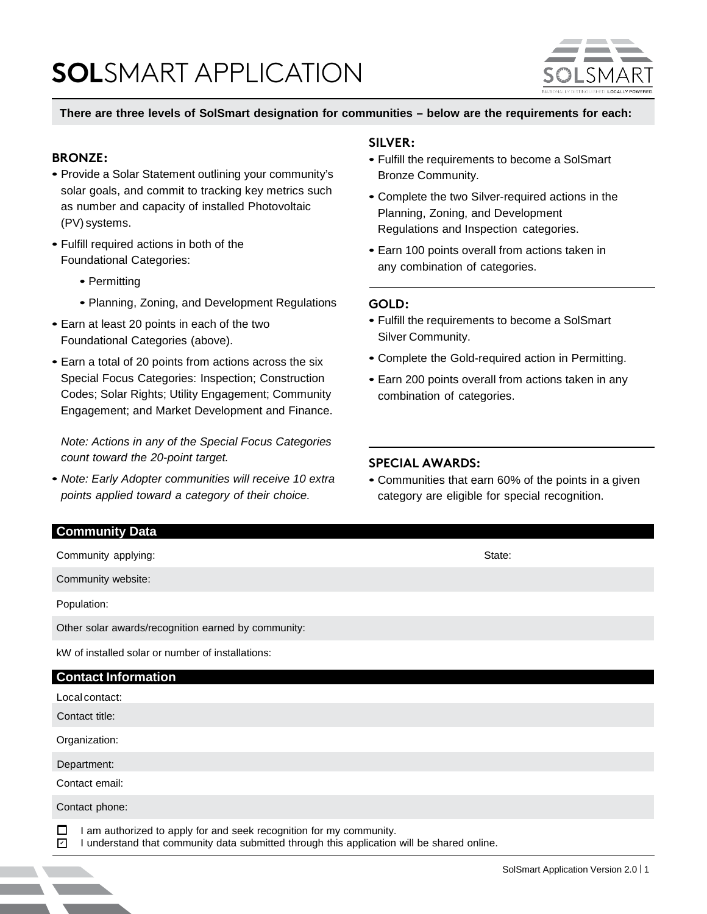# **SOL**SMART APPLICATION



#### **There are three levels of SolSmart designation for communities – below are the requirements for each:**

#### **BRONZE:**

- Provide a Solar Statement outlining your community's solar goals, and commit to tracking key metrics such as number and capacity of installed Photovoltaic (PV) systems.
- Fulfill required actions in both of the Foundational Categories:
	- Permitting
	- Planning, Zoning, and Development Regulations
- Earn at least 20 points in each of the two Foundational Categories (above).
- Earn a total of 20 points from actions across the six Special Focus Categories: Inspection; Construction Codes; Solar Rights; Utility Engagement; Community Engagement; and Market Development and Finance.

*Note: Actions in any of the Special Focus Categories count toward the 20-point target.*

• *Note: Early Adopter communities will receive 10 extra points applied toward a category of their choice.*

#### **SILVER:**

- Fulfill the requirements to become a SolSmart Bronze Community.
- Complete the two Silver-required actions in the Planning, Zoning, and Development Regulations and Inspection categories.
- Earn 100 points overall from actions taken in any combination of categories.

#### **GOLD:**

- Fulfill the requirements to become a SolSmart Silver Community.
- Complete the Gold-required action in Permitting.
- Earn 200 points overall from actions taken in any combination of categories.

#### **SPECIAL AWARDS:**

• Communities that earn 60% of the points in a given category are eligible for special recognition.

| <b>Community Data</b>                                                                                                                                                       |        |
|-----------------------------------------------------------------------------------------------------------------------------------------------------------------------------|--------|
| Community applying:                                                                                                                                                         | State: |
| Community website:                                                                                                                                                          |        |
| Population:                                                                                                                                                                 |        |
| Other solar awards/recognition earned by community:                                                                                                                         |        |
| kW of installed solar or number of installations:                                                                                                                           |        |
| <b>Contact Information</b>                                                                                                                                                  |        |
| Local contact:                                                                                                                                                              |        |
| Contact title:                                                                                                                                                              |        |
| Organization:                                                                                                                                                               |        |
| Department:                                                                                                                                                                 |        |
| Contact email:                                                                                                                                                              |        |
| Contact phone:                                                                                                                                                              |        |
| □<br>I am authorized to apply for and seek recognition for my community.<br>I understand that community data submitted through this application will be shared online.<br>☑ |        |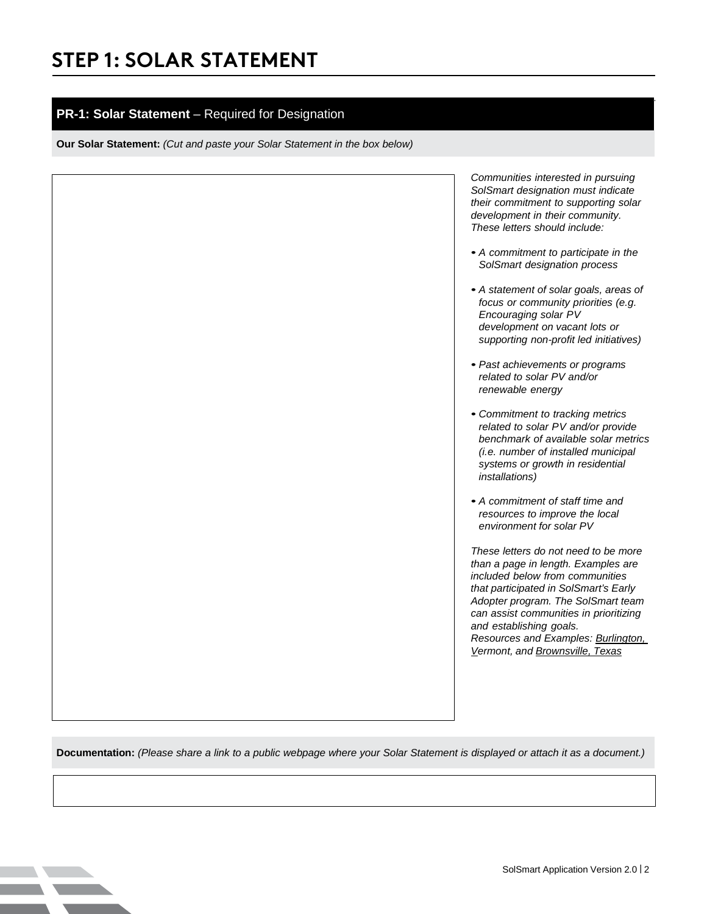#### **PR-1: Solar Statement** – Required for Designation

**Our Solar Statement:** *(Cut and paste your Solar Statement in the box below)*

*Communities interested in pursuing SolSmart designation must indicate their commitment to supporting solar development in their community. These letters should include:*

- *• A commitment to participate in the SolSmart designation process*
- *• A statement of solar goals, areas of focus or community priorities (e.g. Encouraging solar PV development on vacant lots or supporting non-profit led initiatives)*
- *• Past achievements or programs related to solar PV and/or renewable energy*
- *• Commitment to tracking metrics related to solar PV and/or provide benchmark of available solar metrics (i.e. number of installed municipal systems or growth in residential installations)*
- *• A commitment of staff time and resources to improve the local environment for solar PV*

*These letters do not need to be more than a page in length. Examples are included below from communities that participated in SolSmart's Early Adopter program. The SolSmart team can assist communities in prioritizing and establishing goals. Resources and Examples: [Burlington,](https://static1.squarespace.com/static/56035ff7e4b01dadee1991a1/t/5710fe43b09f959b1158a795/1460731459925/Burlington%2BLetter%2Bof%2BIntent.pdf) [Vermont,](https://static1.squarespace.com/static/56035ff7e4b01dadee1991a1/t/5710fe43b09f959b1158a795/1460731459925/Burlington%2BLetter%2Bof%2BIntent.pdf) and [Brownsville,](https://mc-group.app.box.com/s/bomtns55rftxobuc8h6fur8hfh95n2rk) Texas*

**Documentation:** *(Please share a link to a public webpage where your Solar Statement is displayed or attach it as a document.)*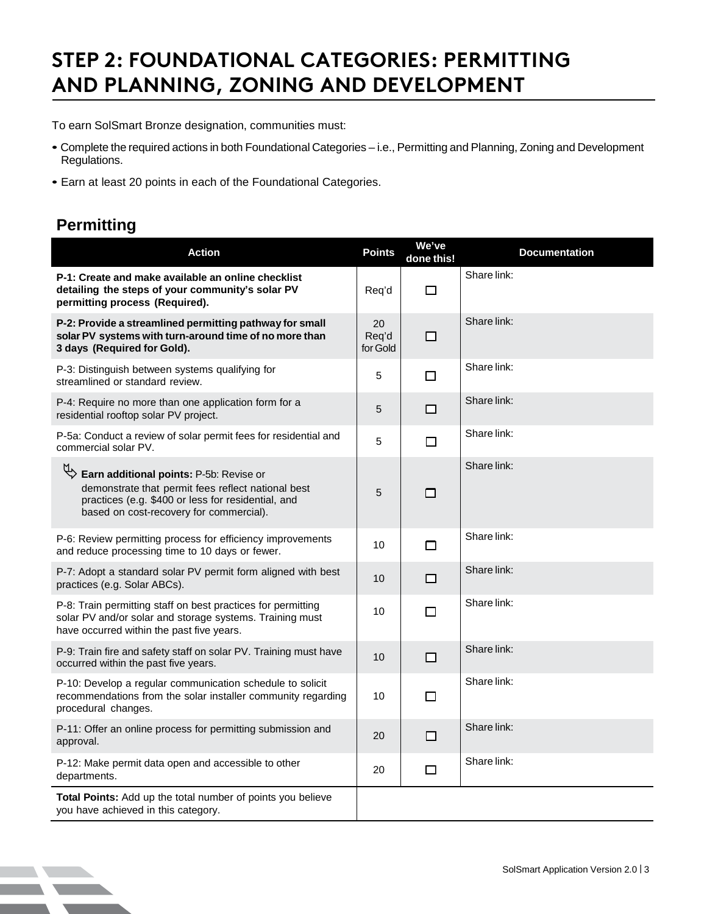# **STEP 2: FOUNDATIONAL CATEGORIES: PERMITTING AND PLANNING, ZONING AND DEVELOPMENT**

To earn SolSmart Bronze designation, communities must:

- Complete the required actions in both Foundational Categories i.e., Permitting and Planning, Zoning and Development Regulations.
- Earn at least 20 points in each of the Foundational Categories.

### **Permitting**

| <b>Action</b>                                                                                                                                                                                  | <b>Points</b>           | We've<br>done this! | <b>Documentation</b> |
|------------------------------------------------------------------------------------------------------------------------------------------------------------------------------------------------|-------------------------|---------------------|----------------------|
| P-1: Create and make available an online checklist<br>detailing the steps of your community's solar PV<br>permitting process (Required).                                                       | Req'd                   | $\Box$              | Share link:          |
| P-2: Provide a streamlined permitting pathway for small<br>solar PV systems with turn-around time of no more than<br>3 days (Required for Gold).                                               | 20<br>Req'd<br>for Gold | $\Box$              | Share link:          |
| P-3: Distinguish between systems qualifying for<br>streamlined or standard review.                                                                                                             | 5                       | □                   | Share link:          |
| P-4: Require no more than one application form for a<br>residential rooftop solar PV project.                                                                                                  | 5                       | $\Box$              | Share link:          |
| P-5a: Conduct a review of solar permit fees for residential and<br>commercial solar PV.                                                                                                        | 5                       | $\Box$              | Share link:          |
| Earn additional points: P-5b: Revise or<br>demonstrate that permit fees reflect national best<br>practices (e.g. \$400 or less for residential, and<br>based on cost-recovery for commercial). | 5                       | п                   | Share link:          |
| P-6: Review permitting process for efficiency improvements<br>and reduce processing time to 10 days or fewer.                                                                                  | 10                      | $\Box$              | Share link:          |
| P-7: Adopt a standard solar PV permit form aligned with best<br>practices (e.g. Solar ABCs).                                                                                                   | 10                      | $\Box$              | Share link:          |
| P-8: Train permitting staff on best practices for permitting<br>solar PV and/or solar and storage systems. Training must<br>have occurred within the past five years.                          | 10                      | $\Box$              | Share link:          |
| P-9: Train fire and safety staff on solar PV. Training must have<br>occurred within the past five years.                                                                                       | 10                      | $\Box$              | Share link:          |
| P-10: Develop a regular communication schedule to solicit<br>recommendations from the solar installer community regarding<br>procedural changes.                                               | 10                      | $\Box$              | Share link:          |
| P-11: Offer an online process for permitting submission and<br>approval.                                                                                                                       | 20                      | □                   | Share link:          |
| P-12: Make permit data open and accessible to other<br>departments.                                                                                                                            | 20                      | $\Box$              | Share link:          |
| Total Points: Add up the total number of points you believe<br>you have achieved in this category.                                                                                             |                         |                     |                      |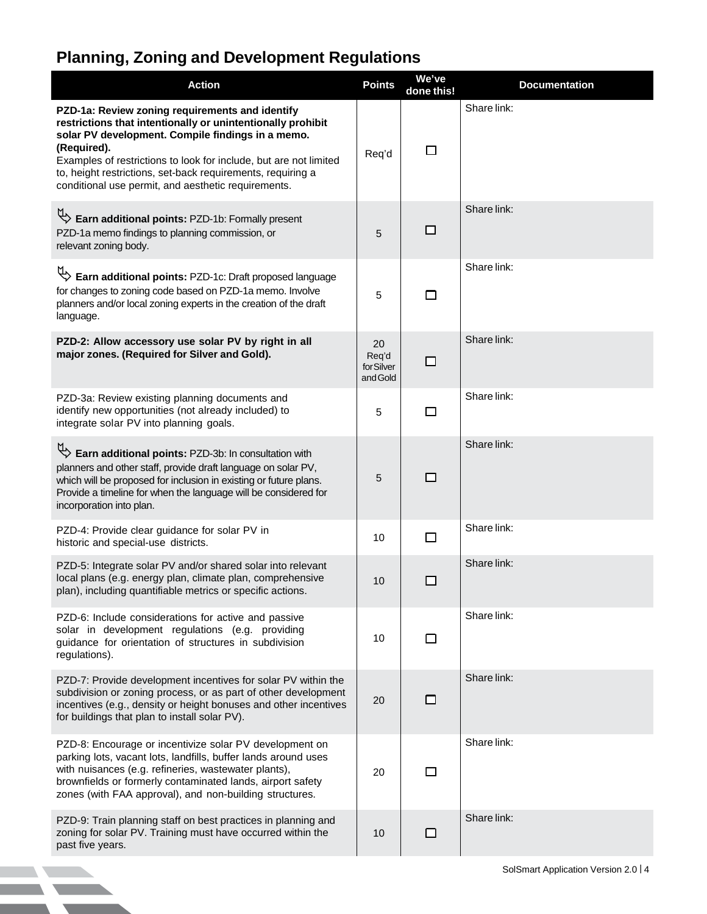## **Planning, Zoning and Development Regulations**

**The Common Section** 

**TANK AND STATE** <u>and the second second</u>

| Share link:<br>PZD-1a: Review zoning requirements and identify<br>restrictions that intentionally or unintentionally prohibit<br>solar PV development. Compile findings in a memo.<br>(Required).<br>$\Box$<br>Req'd<br>Examples of restrictions to look for include, but are not limited<br>to, height restrictions, set-back requirements, requiring a<br>conditional use permit, and aesthetic requirements.<br>Share link:<br>Earn additional points: PZD-1b: Formally present<br>□<br>PZD-1a memo findings to planning commission, or<br>5<br>relevant zoning body.<br>Share link:<br>Earn additional points: PZD-1c: Draft proposed language<br>for changes to zoning code based on PZD-1a memo. Involve<br>5<br>$\Box$<br>planners and/or local zoning experts in the creation of the draft<br>language.<br>Share link:<br>PZD-2: Allow accessory use solar PV by right in all<br>20<br>major zones. (Required for Silver and Gold).<br>Req'd<br>□<br>for Silver<br>and Gold<br>Share link:<br>PZD-3a: Review existing planning documents and<br>identify new opportunities (not already included) to<br>$\Box$<br>5<br>integrate solar PV into planning goals.<br>Share link:<br>Earn additional points: PZD-3b: In consultation with<br>planners and other staff, provide draft language on solar PV,<br>5<br>□<br>which will be proposed for inclusion in existing or future plans.<br>Provide a timeline for when the language will be considered for<br>incorporation into plan.<br>Share link:<br>PZD-4: Provide clear guidance for solar PV in<br>□<br>10<br>historic and special-use districts.<br>Share link:<br>PZD-5: Integrate solar PV and/or shared solar into relevant<br>local plans (e.g. energy plan, climate plan, comprehensive<br>□<br>10<br>plan), including quantifiable metrics or specific actions.<br>Share link:<br>PZD-6: Include considerations for active and passive<br>solar in development regulations (e.g. providing<br>10<br>□<br>guidance for orientation of structures in subdivision<br>regulations).<br>Share link:<br>PZD-7: Provide development incentives for solar PV within the<br>subdivision or zoning process, or as part of other development<br>20<br>□<br>incentives (e.g., density or height bonuses and other incentives<br>for buildings that plan to install solar PV).<br>Share link:<br>PZD-8: Encourage or incentivize solar PV development on<br>parking lots, vacant lots, landfills, buffer lands around uses<br>with nuisances (e.g. refineries, wastewater plants),<br>□<br>20<br>brownfields or formerly contaminated lands, airport safety<br>zones (with FAA approval), and non-building structures.<br>Share link:<br>PZD-9: Train planning staff on best practices in planning and<br>zoning for solar PV. Training must have occurred within the<br>□<br>10<br>past five years. | <b>Action</b> | <b>Points</b> | We've<br>done this! | <b>Documentation</b> |
|-------------------------------------------------------------------------------------------------------------------------------------------------------------------------------------------------------------------------------------------------------------------------------------------------------------------------------------------------------------------------------------------------------------------------------------------------------------------------------------------------------------------------------------------------------------------------------------------------------------------------------------------------------------------------------------------------------------------------------------------------------------------------------------------------------------------------------------------------------------------------------------------------------------------------------------------------------------------------------------------------------------------------------------------------------------------------------------------------------------------------------------------------------------------------------------------------------------------------------------------------------------------------------------------------------------------------------------------------------------------------------------------------------------------------------------------------------------------------------------------------------------------------------------------------------------------------------------------------------------------------------------------------------------------------------------------------------------------------------------------------------------------------------------------------------------------------------------------------------------------------------------------------------------------------------------------------------------------------------------------------------------------------------------------------------------------------------------------------------------------------------------------------------------------------------------------------------------------------------------------------------------------------------------------------------------------------------------------------------------------------------------------------------------------------------------------------------------------------------------------------------------------------------------------------------------------------------------------------------------------------------------------------------------------------------------------------------------------------------------------------------------------------------------------------------------------------------------------------------------|---------------|---------------|---------------------|----------------------|
|                                                                                                                                                                                                                                                                                                                                                                                                                                                                                                                                                                                                                                                                                                                                                                                                                                                                                                                                                                                                                                                                                                                                                                                                                                                                                                                                                                                                                                                                                                                                                                                                                                                                                                                                                                                                                                                                                                                                                                                                                                                                                                                                                                                                                                                                                                                                                                                                                                                                                                                                                                                                                                                                                                                                                                                                                                                             |               |               |                     |                      |
|                                                                                                                                                                                                                                                                                                                                                                                                                                                                                                                                                                                                                                                                                                                                                                                                                                                                                                                                                                                                                                                                                                                                                                                                                                                                                                                                                                                                                                                                                                                                                                                                                                                                                                                                                                                                                                                                                                                                                                                                                                                                                                                                                                                                                                                                                                                                                                                                                                                                                                                                                                                                                                                                                                                                                                                                                                                             |               |               |                     |                      |
|                                                                                                                                                                                                                                                                                                                                                                                                                                                                                                                                                                                                                                                                                                                                                                                                                                                                                                                                                                                                                                                                                                                                                                                                                                                                                                                                                                                                                                                                                                                                                                                                                                                                                                                                                                                                                                                                                                                                                                                                                                                                                                                                                                                                                                                                                                                                                                                                                                                                                                                                                                                                                                                                                                                                                                                                                                                             |               |               |                     |                      |
|                                                                                                                                                                                                                                                                                                                                                                                                                                                                                                                                                                                                                                                                                                                                                                                                                                                                                                                                                                                                                                                                                                                                                                                                                                                                                                                                                                                                                                                                                                                                                                                                                                                                                                                                                                                                                                                                                                                                                                                                                                                                                                                                                                                                                                                                                                                                                                                                                                                                                                                                                                                                                                                                                                                                                                                                                                                             |               |               |                     |                      |
|                                                                                                                                                                                                                                                                                                                                                                                                                                                                                                                                                                                                                                                                                                                                                                                                                                                                                                                                                                                                                                                                                                                                                                                                                                                                                                                                                                                                                                                                                                                                                                                                                                                                                                                                                                                                                                                                                                                                                                                                                                                                                                                                                                                                                                                                                                                                                                                                                                                                                                                                                                                                                                                                                                                                                                                                                                                             |               |               |                     |                      |
|                                                                                                                                                                                                                                                                                                                                                                                                                                                                                                                                                                                                                                                                                                                                                                                                                                                                                                                                                                                                                                                                                                                                                                                                                                                                                                                                                                                                                                                                                                                                                                                                                                                                                                                                                                                                                                                                                                                                                                                                                                                                                                                                                                                                                                                                                                                                                                                                                                                                                                                                                                                                                                                                                                                                                                                                                                                             |               |               |                     |                      |
|                                                                                                                                                                                                                                                                                                                                                                                                                                                                                                                                                                                                                                                                                                                                                                                                                                                                                                                                                                                                                                                                                                                                                                                                                                                                                                                                                                                                                                                                                                                                                                                                                                                                                                                                                                                                                                                                                                                                                                                                                                                                                                                                                                                                                                                                                                                                                                                                                                                                                                                                                                                                                                                                                                                                                                                                                                                             |               |               |                     |                      |
|                                                                                                                                                                                                                                                                                                                                                                                                                                                                                                                                                                                                                                                                                                                                                                                                                                                                                                                                                                                                                                                                                                                                                                                                                                                                                                                                                                                                                                                                                                                                                                                                                                                                                                                                                                                                                                                                                                                                                                                                                                                                                                                                                                                                                                                                                                                                                                                                                                                                                                                                                                                                                                                                                                                                                                                                                                                             |               |               |                     |                      |
|                                                                                                                                                                                                                                                                                                                                                                                                                                                                                                                                                                                                                                                                                                                                                                                                                                                                                                                                                                                                                                                                                                                                                                                                                                                                                                                                                                                                                                                                                                                                                                                                                                                                                                                                                                                                                                                                                                                                                                                                                                                                                                                                                                                                                                                                                                                                                                                                                                                                                                                                                                                                                                                                                                                                                                                                                                                             |               |               |                     |                      |
|                                                                                                                                                                                                                                                                                                                                                                                                                                                                                                                                                                                                                                                                                                                                                                                                                                                                                                                                                                                                                                                                                                                                                                                                                                                                                                                                                                                                                                                                                                                                                                                                                                                                                                                                                                                                                                                                                                                                                                                                                                                                                                                                                                                                                                                                                                                                                                                                                                                                                                                                                                                                                                                                                                                                                                                                                                                             |               |               |                     |                      |
|                                                                                                                                                                                                                                                                                                                                                                                                                                                                                                                                                                                                                                                                                                                                                                                                                                                                                                                                                                                                                                                                                                                                                                                                                                                                                                                                                                                                                                                                                                                                                                                                                                                                                                                                                                                                                                                                                                                                                                                                                                                                                                                                                                                                                                                                                                                                                                                                                                                                                                                                                                                                                                                                                                                                                                                                                                                             |               |               |                     |                      |
|                                                                                                                                                                                                                                                                                                                                                                                                                                                                                                                                                                                                                                                                                                                                                                                                                                                                                                                                                                                                                                                                                                                                                                                                                                                                                                                                                                                                                                                                                                                                                                                                                                                                                                                                                                                                                                                                                                                                                                                                                                                                                                                                                                                                                                                                                                                                                                                                                                                                                                                                                                                                                                                                                                                                                                                                                                                             |               |               |                     |                      |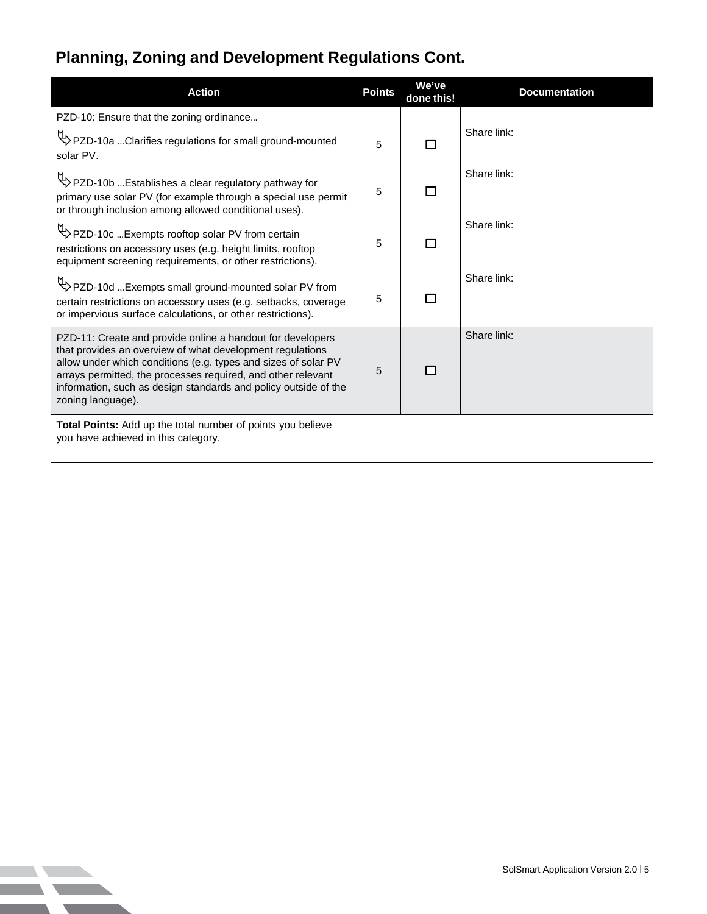## **Planning, Zoning and Development Regulations Cont.**

**NO**  $\mathcal{L}_{\mathcal{A}}$ 

 $\mathcal{L}$ 

| <b>Action</b>                                                                                                                                                                                                                                                                                                                                     | <b>Points</b> | We've<br>done this! | <b>Documentation</b> |
|---------------------------------------------------------------------------------------------------------------------------------------------------------------------------------------------------------------------------------------------------------------------------------------------------------------------------------------------------|---------------|---------------------|----------------------|
| PZD-10: Ensure that the zoning ordinance                                                                                                                                                                                                                                                                                                          |               |                     |                      |
| PZD-10a Clarifies regulations for small ground-mounted<br>solar PV.                                                                                                                                                                                                                                                                               | 5             | П                   | Share link:          |
| PZD-10b Establishes a clear regulatory pathway for<br>primary use solar PV (for example through a special use permit<br>or through inclusion among allowed conditional uses).                                                                                                                                                                     | 5             | П                   | Share link:          |
| PZD-10c  Exempts rooftop solar PV from certain<br>restrictions on accessory uses (e.g. height limits, rooftop<br>equipment screening requirements, or other restrictions).                                                                                                                                                                        | 5             | П                   | Share link:          |
| PZD-10d Exempts small ground-mounted solar PV from<br>certain restrictions on accessory uses (e.g. setbacks, coverage<br>or impervious surface calculations, or other restrictions).                                                                                                                                                              | 5             | П                   | Share link:          |
| PZD-11: Create and provide online a handout for developers<br>that provides an overview of what development regulations<br>allow under which conditions (e.g. types and sizes of solar PV<br>arrays permitted, the processes required, and other relevant<br>information, such as design standards and policy outside of the<br>zoning language). | 5             |                     | Share link:          |
| <b>Total Points:</b> Add up the total number of points you believe<br>you have achieved in this category.                                                                                                                                                                                                                                         |               |                     |                      |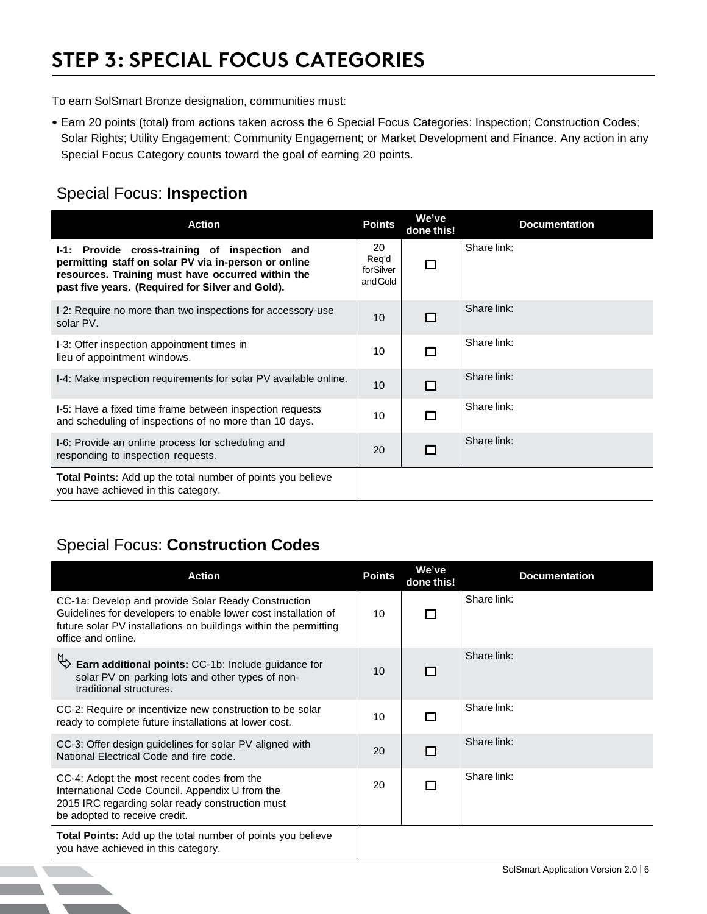# **STEP 3: SPECIAL FOCUS CATEGORIES**

To earn SolSmart Bronze designation, communities must:

• Earn 20 points (total) from actions taken across the 6 Special Focus Categories: Inspection; Construction Codes; Solar Rights; Utility Engagement; Community Engagement; or Market Development and Finance. Any action in any Special Focus Category counts toward the goal of earning 20 points.

### Special Focus: **Inspection**

| <b>Action</b>                                                                                                                                                                                                  | <b>Points</b>                         | We've<br>done this! | <b>Documentation</b> |
|----------------------------------------------------------------------------------------------------------------------------------------------------------------------------------------------------------------|---------------------------------------|---------------------|----------------------|
| I-1: Provide cross-training of inspection and<br>permitting staff on solar PV via in-person or online<br>resources. Training must have occurred within the<br>past five years. (Required for Silver and Gold). | 20<br>Req'd<br>for Silver<br>and Gold |                     | Share link:          |
| I-2: Require no more than two inspections for accessory-use<br>solar PV.                                                                                                                                       | 10                                    | $\Box$              | Share link:          |
| I-3: Offer inspection appointment times in<br>lieu of appointment windows.                                                                                                                                     | 10                                    | П                   | Share link:          |
| I-4: Make inspection requirements for solar PV available online.                                                                                                                                               | 10                                    | □                   | Share link:          |
| I-5: Have a fixed time frame between inspection requests<br>and scheduling of inspections of no more than 10 days.                                                                                             | 10                                    | П                   | Share link:          |
| I-6: Provide an online process for scheduling and<br>responding to inspection requests.                                                                                                                        | 20                                    | ┍                   | Share link:          |
| Total Points: Add up the total number of points you believe<br>you have achieved in this category.                                                                                                             |                                       |                     |                      |

### Special Focus: **Construction Codes**

| <b>Action</b>                                                                                                                                                                                                   | <b>Points</b> | We've<br>done this! | <b>Documentation</b> |
|-----------------------------------------------------------------------------------------------------------------------------------------------------------------------------------------------------------------|---------------|---------------------|----------------------|
| CC-1a: Develop and provide Solar Ready Construction<br>Guidelines for developers to enable lower cost installation of<br>future solar PV installations on buildings within the permitting<br>office and online. | 10            |                     | Share link:          |
| Earn additional points: CC-1b: Include guidance for<br>solar PV on parking lots and other types of non-<br>traditional structures.                                                                              | 10            |                     | Share link:          |
| CC-2: Require or incentivize new construction to be solar<br>ready to complete future installations at lower cost.                                                                                              | 10            |                     | Share link:          |
| CC-3: Offer design guidelines for solar PV aligned with<br>National Electrical Code and fire code.                                                                                                              | 20            | П                   | Share link:          |
| CC-4: Adopt the most recent codes from the<br>International Code Council. Appendix U from the<br>2015 IRC regarding solar ready construction must<br>be adopted to receive credit.                              | 20            |                     | Share link:          |
| Total Points: Add up the total number of points you believe<br>you have achieved in this category.                                                                                                              |               |                     |                      |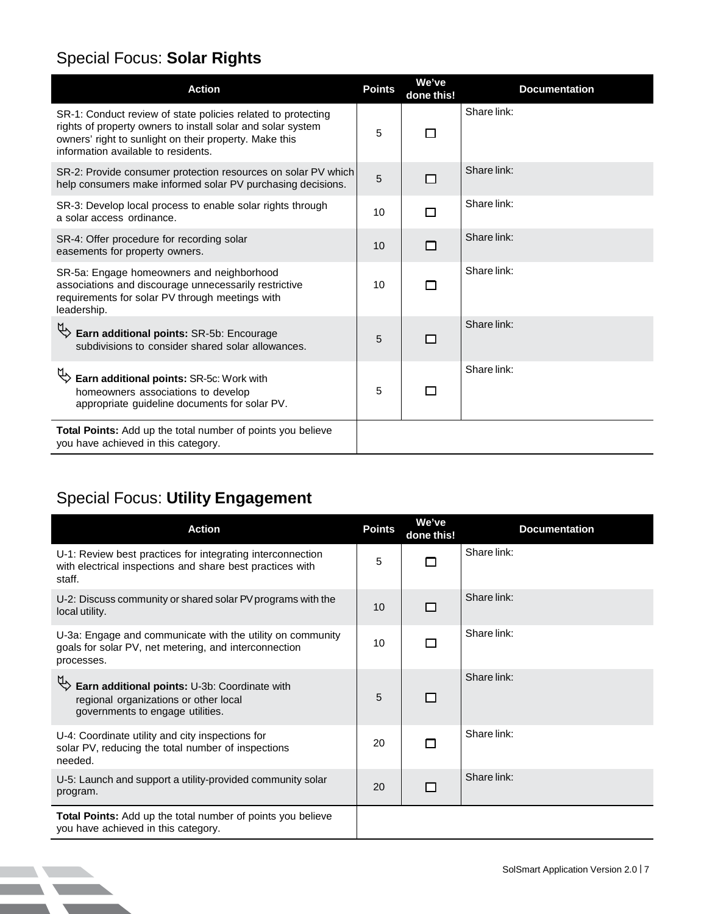### Special Focus: **Solar Rights**

| <b>Action</b>                                                                                                                                                                                                                | <b>Points</b> | We've<br>done this! | <b>Documentation</b> |
|------------------------------------------------------------------------------------------------------------------------------------------------------------------------------------------------------------------------------|---------------|---------------------|----------------------|
| SR-1: Conduct review of state policies related to protecting<br>rights of property owners to install solar and solar system<br>owners' right to sunlight on their property. Make this<br>information available to residents. | 5             |                     | Share link:          |
| SR-2: Provide consumer protection resources on solar PV which<br>help consumers make informed solar PV purchasing decisions.                                                                                                 | 5             | □                   | Share link:          |
| SR-3: Develop local process to enable solar rights through<br>a solar access ordinance.                                                                                                                                      | 10            | П                   | Share link:          |
| SR-4: Offer procedure for recording solar<br>easements for property owners.                                                                                                                                                  | 10            | $\Box$              | Share link:          |
| SR-5a: Engage homeowners and neighborhood<br>associations and discourage unnecessarily restrictive<br>requirements for solar PV through meetings with<br>leadership.                                                         | 10            | П                   | Share link:          |
| Ъ<br>Earn additional points: SR-5b: Encourage<br>subdivisions to consider shared solar allowances.                                                                                                                           | 5             | Г                   | Share link:          |
| Earn additional points: SR-5c: Work with<br>homeowners associations to develop<br>appropriate guideline documents for solar PV.                                                                                              | 5             |                     | Share link:          |
| Total Points: Add up the total number of points you believe<br>you have achieved in this category.                                                                                                                           |               |                     |                      |

### Special Focus: **Utility Engagement**

| <b>Action</b>                                                                                                                     | <b>Points</b> | We've<br>done this! | <b>Documentation</b> |
|-----------------------------------------------------------------------------------------------------------------------------------|---------------|---------------------|----------------------|
| U-1: Review best practices for integrating interconnection<br>with electrical inspections and share best practices with<br>staff. | 5             | П                   | Share link:          |
| U-2: Discuss community or shared solar PV programs with the<br>local utility.                                                     | 10            | П                   | Share link:          |
| U-3a: Engage and communicate with the utility on community<br>goals for solar PV, net metering, and interconnection<br>processes. | 10            | П                   | Share link:          |
| Earn additional points: U-3b: Coordinate with<br>regional organizations or other local<br>governments to engage utilities.        | 5             | П                   | Share link:          |
| U-4: Coordinate utility and city inspections for<br>solar PV, reducing the total number of inspections<br>needed.                 | 20            | П                   | Share link:          |
| U-5: Launch and support a utility-provided community solar<br>program.                                                            | 20            | П                   | Share link:          |
| Total Points: Add up the total number of points you believe<br>you have achieved in this category.                                |               |                     |                      |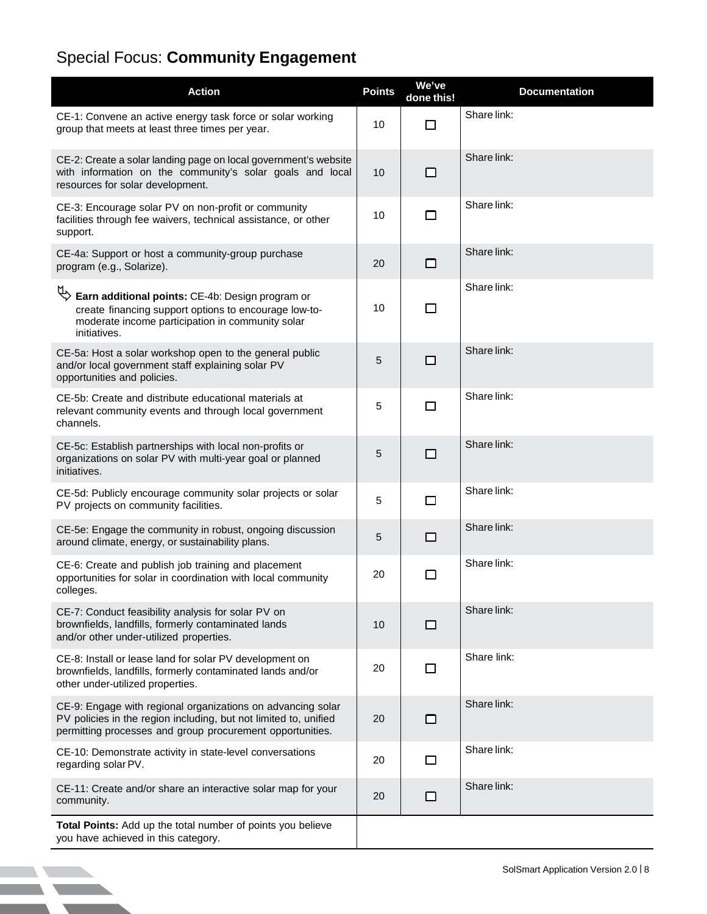# Special Focus: **Community Engagement**

| <b>Action</b>                                                                                                                                                                                | <b>Points</b> | We've<br>done this! | <b>Documentation</b> |
|----------------------------------------------------------------------------------------------------------------------------------------------------------------------------------------------|---------------|---------------------|----------------------|
| CE-1: Convene an active energy task force or solar working<br>group that meets at least three times per year.                                                                                | 10            | $\Box$              | Share link:          |
| CE-2: Create a solar landing page on local government's website<br>with information on the community's solar goals and local<br>resources for solar development.                             | 10            | □                   | Share link:          |
| CE-3: Encourage solar PV on non-profit or community<br>facilities through fee waivers, technical assistance, or other<br>support.                                                            | 10            | $\Box$              | Share link:          |
| CE-4a: Support or host a community-group purchase<br>program (e.g., Solarize).                                                                                                               | 20            | $\Box$              | Share link:          |
| Earn additional points: CE-4b: Design program or<br>create financing support options to encourage low-to-<br>moderate income participation in community solar<br>initiatives.                | 10            | $\Box$              | Share link:          |
| CE-5a: Host a solar workshop open to the general public<br>and/or local government staff explaining solar PV<br>opportunities and policies.                                                  | 5             | П                   | Share link:          |
| CE-5b: Create and distribute educational materials at<br>relevant community events and through local government<br>channels.                                                                 | 5             | $\Box$              | Share link:          |
| CE-5c: Establish partnerships with local non-profits or<br>organizations on solar PV with multi-year goal or planned<br>initiatives.                                                         | 5             | П                   | Share link:          |
| CE-5d: Publicly encourage community solar projects or solar<br>PV projects on community facilities.                                                                                          | 5             | $\Box$              | Share link:          |
| CE-5e: Engage the community in robust, ongoing discussion<br>around climate, energy, or sustainability plans.                                                                                | 5             | □                   | Share link:          |
| CE-6: Create and publish job training and placement<br>opportunities for solar in coordination with local community<br>colleges.                                                             | 20            | □                   | Share link:          |
| CE-7: Conduct feasibility analysis for solar PV on<br>brownfields, landfills, formerly contaminated lands<br>and/or other under-utilized properties.                                         | 10            | □                   | Share link:          |
| CE-8: Install or lease land for solar PV development on<br>brownfields, landfills, formerly contaminated lands and/or<br>other under-utilized properties.                                    | 20            | $\Box$              | Share link:          |
| CE-9: Engage with regional organizations on advancing solar<br>PV policies in the region including, but not limited to, unified<br>permitting processes and group procurement opportunities. | 20            | $\Box$              | Share link:          |
| CE-10: Demonstrate activity in state-level conversations<br>regarding solar PV.                                                                                                              | 20            | $\Box$              | Share link:          |
| CE-11: Create and/or share an interactive solar map for your<br>community.                                                                                                                   | 20            | □                   | Share link:          |
| Total Points: Add up the total number of points you believe<br>you have achieved in this category.                                                                                           |               |                     |                      |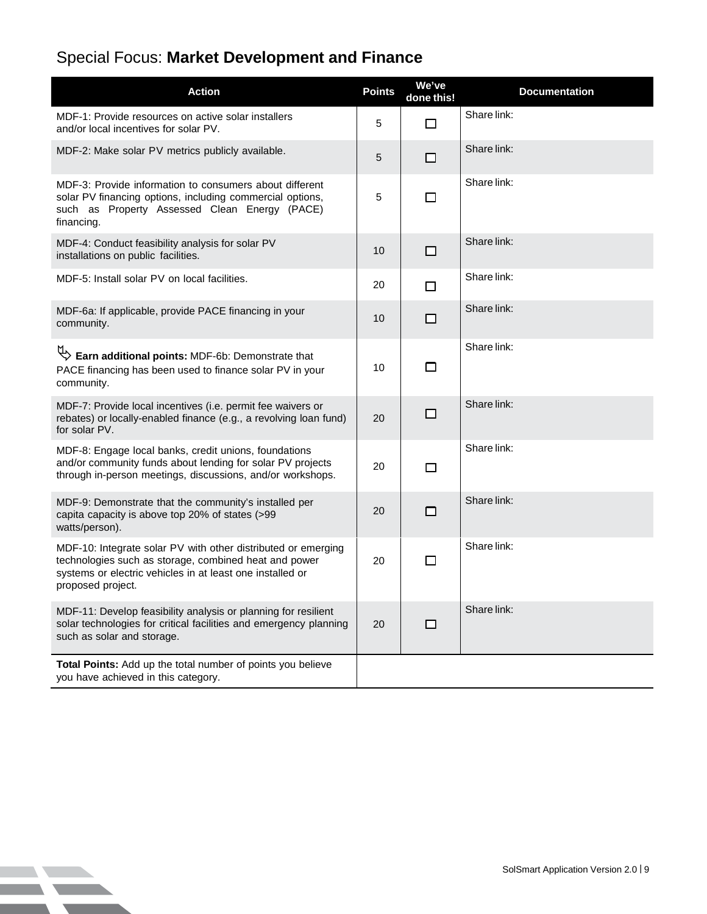## Special Focus: **Market Development and Finance**

**Simulation** 

| <b>Action</b>                                                                                                                                                                                            | <b>Points</b> | We've<br>done this! | <b>Documentation</b> |
|----------------------------------------------------------------------------------------------------------------------------------------------------------------------------------------------------------|---------------|---------------------|----------------------|
| MDF-1: Provide resources on active solar installers<br>and/or local incentives for solar PV.                                                                                                             | 5             | □                   | Share link:          |
| MDF-2: Make solar PV metrics publicly available.                                                                                                                                                         | 5             | □                   | Share link:          |
| MDF-3: Provide information to consumers about different<br>solar PV financing options, including commercial options,<br>such as Property Assessed Clean Energy (PACE)<br>financing.                      | 5             | □                   | Share link:          |
| MDF-4: Conduct feasibility analysis for solar PV<br>installations on public facilities.                                                                                                                  | 10            | □                   | Share link:          |
| MDF-5: Install solar PV on local facilities.                                                                                                                                                             | 20            | П                   | Share link:          |
| MDF-6a: If applicable, provide PACE financing in your<br>community.                                                                                                                                      | 10            | □                   | Share link:          |
| Earn additional points: MDF-6b: Demonstrate that<br>PACE financing has been used to finance solar PV in your<br>community.                                                                               | 10            | □                   | Share link:          |
| MDF-7: Provide local incentives (i.e. permit fee waivers or<br>rebates) or locally-enabled finance (e.g., a revolving loan fund)<br>for solar PV.                                                        | 20            | □                   | Share link:          |
| MDF-8: Engage local banks, credit unions, foundations<br>and/or community funds about lending for solar PV projects<br>through in-person meetings, discussions, and/or workshops.                        | 20            | П                   | Share link:          |
| MDF-9: Demonstrate that the community's installed per<br>capita capacity is above top 20% of states (>99<br>watts/person).                                                                               | 20            | П                   | Share link:          |
| MDF-10: Integrate solar PV with other distributed or emerging<br>technologies such as storage, combined heat and power<br>systems or electric vehicles in at least one installed or<br>proposed project. | 20            | $\Box$              | Share link:          |
| MDF-11: Develop feasibility analysis or planning for resilient<br>solar technologies for critical facilities and emergency planning<br>such as solar and storage.                                        | 20            | ш                   | Share link:          |
| Total Points: Add up the total number of points you believe<br>you have achieved in this category.                                                                                                       |               |                     |                      |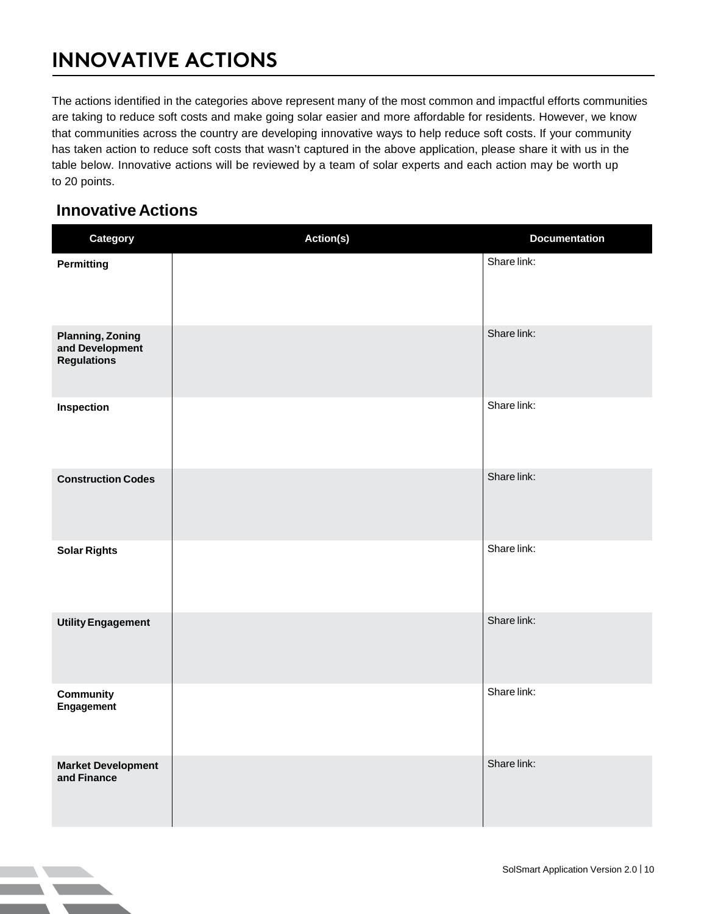# **INNOVATIVE ACTIONS**

The actions identified in the categories above represent many of the most common and impactful efforts communities are taking to reduce soft costs and make going solar easier and more affordable for residents. However, we know that communities across the country are developing innovative ways to help reduce soft costs. If your community has taken action to reduce soft costs that wasn't captured in the above application, please share it with us in the table below. Innovative actions will be reviewed by a team of solar experts and each action may be worth up to 20 points.

### **Innovative Actions**

| Category                                                         | Action(s) | <b>Documentation</b> |
|------------------------------------------------------------------|-----------|----------------------|
| <b>Permitting</b>                                                |           | Share link:          |
| <b>Planning, Zoning</b><br>and Development<br><b>Regulations</b> |           | Share link:          |
| Inspection                                                       |           | Share link:          |
| <b>Construction Codes</b>                                        |           | Share link:          |
| <b>Solar Rights</b>                                              |           | Share link:          |
| <b>Utility Engagement</b>                                        |           | Share link:          |
| Community<br>Engagement                                          |           | Share link:          |
| <b>Market Development</b><br>and Finance                         |           | Share link:          |